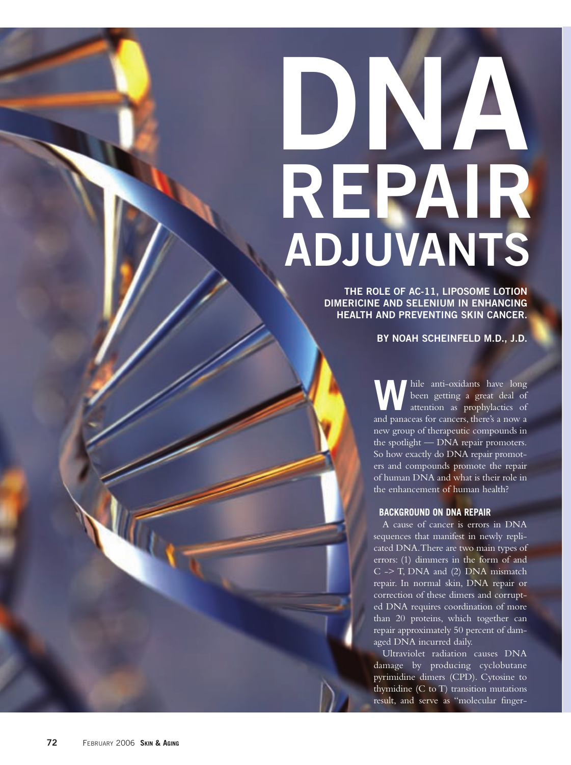# **DNA REPAIR ADJUVANTS**

**THE ROLE OF AC-11, LIPOSOME LOTION DIMERICINE AND SELENIUM IN ENHANCING HEALTH AND PREVENTING SKIN CANCER.**

**BY NOAH SCHEINFELD M.D., J.D.**

W hile anti-oxidants have long<br>been getting a great deal of<br>attention as prophylactics of been getting a great deal of and panaceas for cancers, there's a now a new group of therapeutic compounds in the spotlight — DNA repair promoters. So how exactly do DNA repair promoters and compounds promote the repair of human DNA and what is their role in the enhancement of human health?

# **BACKGROUND ON DNA REPAIR**

A cause of cancer is errors in DNA sequences that manifest in newly replicated DNA.There are two main types of errors: (1) dimmers in the form of and C -> T, DNA and (2) DNA mismatch repair. In normal skin, DNA repair or correction of these dimers and corrupted DNA requires coordination of more than 20 proteins, which together can repair approximately 50 percent of damaged DNA incurred daily.

Ultraviolet radiation causes DNA damage by producing cyclobutane pyrimidine dimers (CPD). Cytosine to thymidine (C to T) transition mutations result, and serve as "molecular finger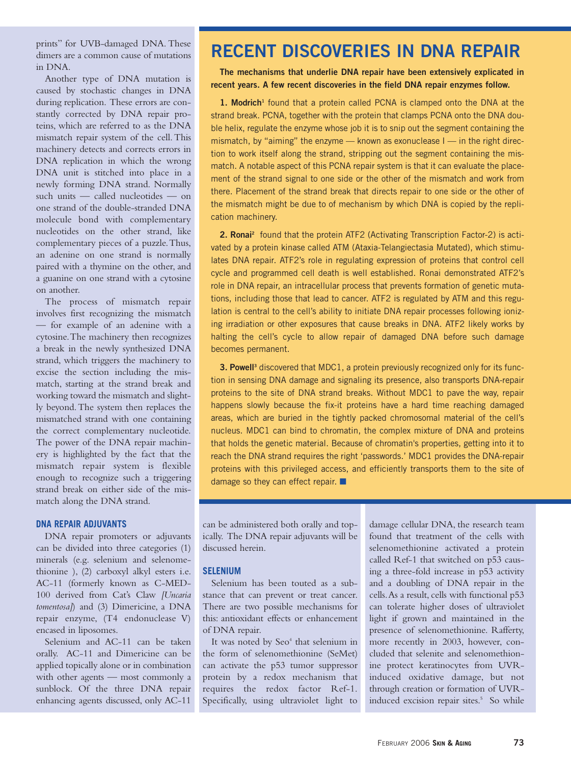prints" for UVB-damaged DNA. These dimers are a common cause of mutations in DNA.

Another type of DNA mutation is caused by stochastic changes in DNA during replication. These errors are constantly corrected by DNA repair proteins, which are referred to as the DNA mismatch repair system of the cell. This machinery detects and corrects errors in DNA replication in which the wrong DNA unit is stitched into place in a newly forming DNA strand. Normally such units — called nucleotides — on one strand of the double-stranded DNA molecule bond with complementary nucleotides on the other strand, like complementary pieces of a puzzle.Thus, an adenine on one strand is normally paired with a thymine on the other, and a guanine on one strand with a cytosine on another.

The process of mismatch repair involves first recognizing the mismatch — for example of an adenine with a cytosine.The machinery then recognizes a break in the newly synthesized DNA strand, which triggers the machinery to excise the section including the mismatch, starting at the strand break and working toward the mismatch and slightly beyond.The system then replaces the mismatched strand with one containing the correct complementary nucleotide. The power of the DNA repair machinery is highlighted by the fact that the mismatch repair system is flexible enough to recognize such a triggering strand break on either side of the mismatch along the DNA strand.

### **DNA REPAIR ADJUVANTS**

DNA repair promoters or adjuvants can be divided into three categories (1) minerals (e.g. selenium and selenomethionine ), (2) carboxyl alkyl esters i.e. AC-11 (formerly known as C-MED-100 derived from Cat's Claw *[Uncaria tomentosa]*) and (3) Dimericine, a DNA repair enzyme, (T4 endonuclease V) encased in liposomes.

Selenium and AC-11 can be taken orally. AC-11 and Dimericine can be applied topically alone or in combination with other agents — most commonly a sunblock. Of the three DNA repair enhancing agents discussed, only AC-11

# **RECENT DISCOVERIES IN DNA REPAIR**

**The mechanisms that underlie DNA repair have been extensively explicated in recent years. A few recent discoveries in the field DNA repair enzymes follow.** 

1. Modrich<sup>1</sup> found that a protein called PCNA is clamped onto the DNA at the strand break. PCNA, together with the protein that clamps PCNA onto the DNA double helix, regulate the enzyme whose job it is to snip out the segment containing the mismatch, by "aiming" the enzyme — known as exonuclease I — in the right direction to work itself along the strand, stripping out the segment containing the mismatch. A notable aspect of this PCNA repair system is that it can evaluate the placement of the strand signal to one side or the other of the mismatch and work from there. Placement of the strand break that directs repair to one side or the other of the mismatch might be due to of mechanism by which DNA is copied by the replication machinery.

2. Ronai<sup>2</sup> found that the protein ATF2 (Activating Transcription Factor-2) is activated by a protein kinase called ATM (Ataxia-Telangiectasia Mutated), which stimulates DNA repair. ATF2's role in regulating expression of proteins that control cell cycle and programmed cell death is well established. Ronai demonstrated ATF2's role in DNA repair, an intracellular process that prevents formation of genetic mutations, including those that lead to cancer. ATF2 is regulated by ATM and this regulation is central to the cell's ability to initiate DNA repair processes following ionizing irradiation or other exposures that cause breaks in DNA. ATF2 likely works by halting the cell's cycle to allow repair of damaged DNA before such damage becomes permanent.

**3. Powell<sup>3</sup>** discovered that MDC1, a protein previously recognized only for its function in sensing DNA damage and signaling its presence, also transports DNA-repair proteins to the site of DNA strand breaks. Without MDC1 to pave the way, repair happens slowly because the fix-it proteins have a hard time reaching damaged areas, which are buried in the tightly packed chromosomal material of the cell's nucleus. MDC1 can bind to chromatin, the complex mixture of DNA and proteins that holds the genetic material. Because of chromatin's properties, getting into it to reach the DNA strand requires the right 'passwords.' MDC1 provides the DNA-repair proteins with this privileged access, and efficiently transports them to the site of damage so they can effect repair. ■

can be administered both orally and topically. The DNA repair adjuvants will be discussed herein.

### **SELENIUM**

Selenium has been touted as a substance that can prevent or treat cancer. There are two possible mechanisms for this: antioxidant effects or enhancement of DNA repair.

It was noted by Seo<sup>4</sup> that selenium in the form of selenomethionine (SeMet) can activate the p53 tumor suppressor protein by a redox mechanism that requires the redox factor Ref-1. Specifically, using ultraviolet light to

damage cellular DNA, the research team found that treatment of the cells with selenomethionine activated a protein called Ref-1 that switched on p53 causing a three-fold increase in p53 activity and a doubling of DNA repair in the cells.As a result, cells with functional p53 can tolerate higher doses of ultraviolet light if grown and maintained in the presence of selenomethionine. Rafferty, more recently in 2003, however, concluded that selenite and selenomethionine protect keratinocytes from UVRinduced oxidative damage, but not through creation or formation of UVRinduced excision repair sites.<sup>5</sup> So while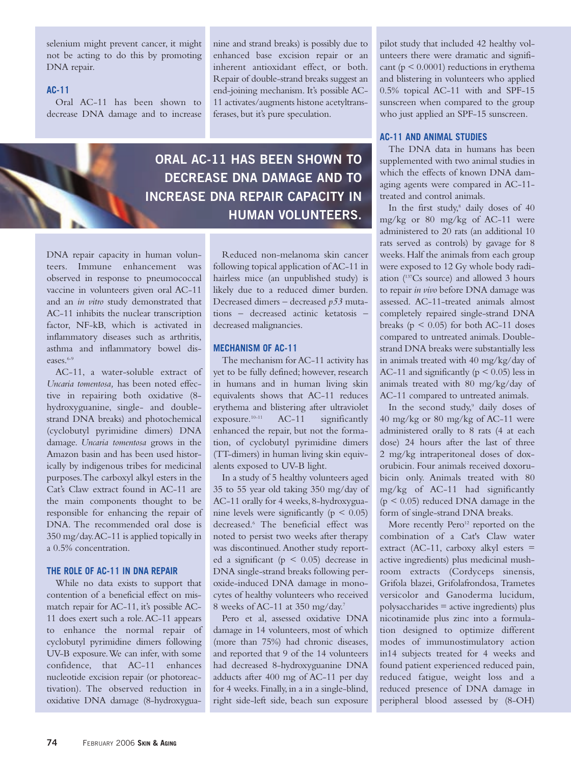selenium might prevent cancer, it might not be acting to do this by promoting DNA repair.

# **AC-11**

Oral AC-11 has been shown to decrease DNA damage and to increase nine and strand breaks) is possibly due to enhanced base excision repair or an inherent antioxidant effect, or both. Repair of double-strand breaks suggest an end-joining mechanism. It's possible AC-11 activates/augments histone acetyltransferases, but it's pure speculation.

**ORAL AC-11 HAS BEEN SHOWN TO DECREASE DNA DAMAGE AND TO INCREASE DNA REPAIR CAPACITY IN HUMAN VOLUNTEERS.**

DNA repair capacity in human volunteers. Immune enhancement was observed in response to pneumococcal vaccine in volunteers given oral AC-11 and an *in vitro* study demonstrated that AC-11 inhibits the nuclear transcription factor, NF-kB, which is activated in inflammatory diseases such as arthritis, asthma and inflammatory bowel diseases.<sup>6-9</sup>

AC-11, a water-soluble extract of *Uncaria tomentosa,* has been noted effective in repairing both oxidative (8 hydroxyguanine, single- and doublestrand DNA breaks) and photochemical (cyclobutyl pyrimidine dimers) DNA damage. *Uncaria tomentosa* grows in the Amazon basin and has been used historically by indigenous tribes for medicinal purposes.The carboxyl alkyl esters in the Cat's Claw extract found in AC-11 are the main components thought to be responsible for enhancing the repair of DNA. The recommended oral dose is 350 mg/day.AC-11 is applied topically in a 0.5% concentration.

## **THE ROLE OF AC-11 IN DNA REPAIR**

While no data exists to support that contention of a beneficial effect on mismatch repair for AC-11, it's possible AC-11 does exert such a role.AC-11 appears to enhance the normal repair of cyclobutyl pyrimidine dimers following UV-B exposure.We can infer, with some confidence, that AC-11 enhances nucleotide excision repair (or photoreactivation). The observed reduction in oxidative DNA damage (8-hydroxygua-

Reduced non-melanoma skin cancer following topical application of AC-11 in hairless mice (an unpublished study) is likely due to a reduced dimer burden. Decreased dimers – decreased *p53* mutations – decreased actinic ketatosis – decreased malignancies.

# **MECHANISM OF AC-11**

The mechanism for AC-11 activity has yet to be fully defined; however, research in humans and in human living skin equivalents shows that AC-11 reduces erythema and blistering after ultraviolet exposure. 10-11 AC-11 significantly enhanced the repair, but not the formation, of cyclobutyl pyrimidine dimers (TT-dimers) in human living skin equivalents exposed to UV-B light.

In a study of 5 healthy volunteers aged 35 to 55 year old taking 350 mg/day of AC-11 orally for 4 weeks, 8-hydroxyguanine levels were significantly ( $p < 0.05$ ) decreased.6 The beneficial effect was noted to persist two weeks after therapy was discontinued. Another study reported a significant ( $p \leq 0.05$ ) decrease in DNA single-strand breaks following peroxide-induced DNA damage in monocytes of healthy volunteers who received 8 weeks of AC-11 at 350 mg/day.7

Pero et al, assessed oxidative DNA damage in 14 volunteers, most of which (more than 75%) had chronic diseases, and reported that 9 of the 14 volunteers had decreased 8-hydroxyguanine DNA adducts after 400 mg of AC-11 per day for 4 weeks. Finally, in a in a single-blind, right side-left side, beach sun exposure pilot study that included 42 healthy volunteers there were dramatic and significant ( $p < 0.0001$ ) reductions in erythema and blistering in volunteers who applied 0.5% topical AC-11 with and SPF-15 sunscreen when compared to the group who just applied an SPF-15 sunscreen.

## **AC-11 AND ANIMAL STUDIES**

The DNA data in humans has been supplemented with two animal studies in which the effects of known DNA damaging agents were compared in AC-11 treated and control animals.

In the first study,<sup>8</sup> daily doses of 40 mg/kg or 80 mg/kg of AC-11 were administered to 20 rats (an additional 10 rats served as controls) by gavage for 8 weeks. Half the animals from each group were exposed to 12 Gy whole body radiation (137Cs source) and allowed 3 hours to repair *in vivo* before DNA damage was assessed. AC-11-treated animals almost completely repaired single-strand DNA breaks ( $p \leq 0.05$ ) for both AC-11 doses compared to untreated animals. Doublestrand DNA breaks were substantially less in animals treated with 40 mg/kg/day of AC-11 and significantly ( $p \le 0.05$ ) less in animals treated with 80 mg/kg/day of AC-11 compared to untreated animals.

In the second study, <sup>9</sup> daily doses of 40 mg/kg or 80 mg/kg of AC-11 were administered orally to 8 rats (4 at each dose) 24 hours after the last of three 2 mg/kg intraperitoneal doses of doxorubicin. Four animals received doxorubicin only. Animals treated with 80 mg/kg of AC-11 had significantly  $(p < 0.05)$  reduced DNA damage in the form of single-strand DNA breaks.

More recently Pero<sup>12</sup> reported on the combination of a Cat's Claw water extract (AC-11, carboxy alkyl esters = active ingredients) plus medicinal mushroom extracts (Cordyceps sinensis, Grifola blazei, Grifolafrondosa, Trametes versicolor and Ganoderma lucidum, polysaccharides = active ingredients) plus nicotinamide plus zinc into a formulation designed to optimize different modes of immunostimulatory action in14 subjects treated for 4 weeks and found patient experienced reduced pain, reduced fatigue, weight loss and a reduced presence of DNA damage in peripheral blood assessed by (8-OH)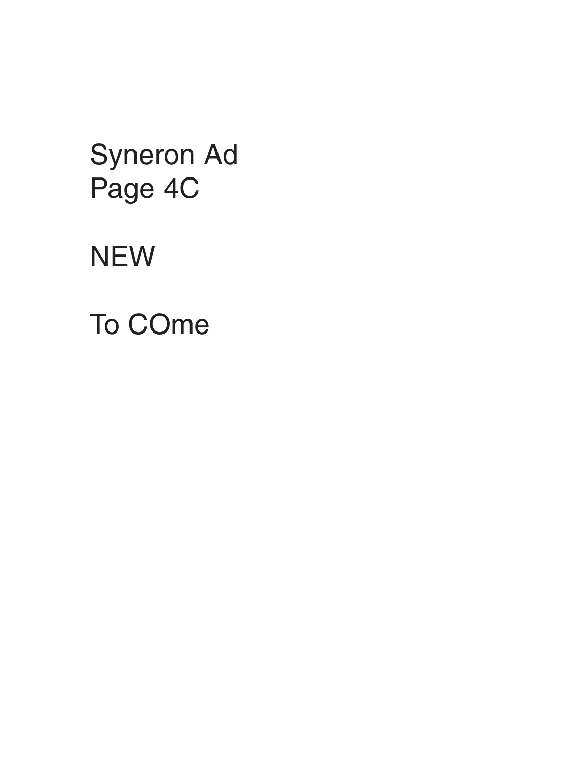Syneron Ad Page 4C **NEW** To COme